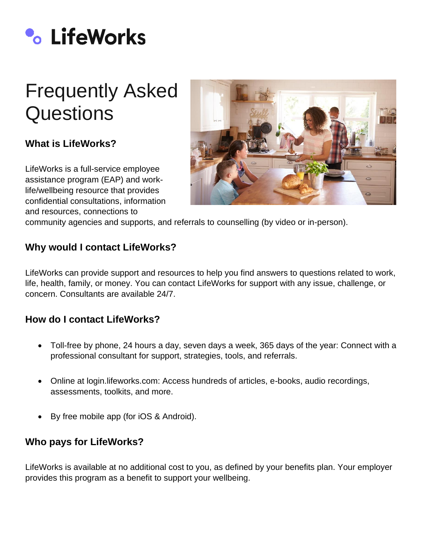

# Frequently Asked **Questions**

# **What is LifeWorks?**

LifeWorks is a full-service employee assistance program (EAP) and worklife/wellbeing resource that provides confidential consultations, information and resources, connections to



community agencies and supports, and referrals to counselling (by video or in-person).

## **Why would I contact LifeWorks?**

LifeWorks can provide support and resources to help you find answers to questions related to work, life, health, family, or money. You can contact LifeWorks for support with any issue, challenge, or concern. Consultants are available 24/7.

#### **How do I contact LifeWorks?**

- Toll-free by phone, 24 hours a day, seven days a week, 365 days of the year: Connect with a professional consultant for support, strategies, tools, and referrals.
- Online at login.lifeworks.com: Access hundreds of articles, e-books, audio recordings, assessments, toolkits, and more.
- By free mobile app (for iOS & Android).

#### **Who pays for LifeWorks?**

LifeWorks is available at no additional cost to you, as defined by your benefits plan. Your employer provides this program as a benefit to support your wellbeing.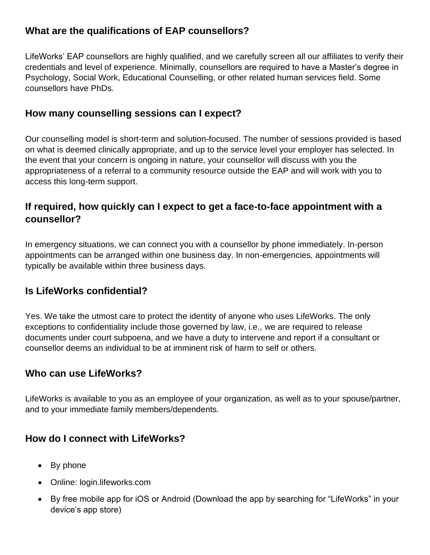## **What are the qualifications of EAP counsellors?**

LifeWorks' EAP counsellors are highly qualified, and we carefully screen all our affiliates to verify their credentials and level of experience. Minimally, counsellors are required to have a Master's degree in Psychology, Social Work, Educational Counselling, or other related human services field. Some counsellors have PhDs.

## **How many counselling sessions can I expect?**

Our counselling model is short-term and solution-focused. The number of sessions provided is based on what is deemed clinically appropriate, and up to the service level your employer has selected. In the event that your concern is ongoing in nature, your counsellor will discuss with you the appropriateness of a referral to a community resource outside the EAP and will work with you to access this long-term support.

## **If required, how quickly can I expect to get a face-to-face appointment with a counsellor?**

In emergency situations, we can connect you with a counsellor by phone immediately. In-person appointments can be arranged within one business day. In non-emergencies, appointments will typically be available within three business days.

## **Is LifeWorks confidential?**

Yes. We take the utmost care to protect the identity of anyone who uses LifeWorks. The only exceptions to confidentiality include those governed by law, i.e., we are required to release documents under court subpoena, and we have a duty to intervene and report if a consultant or counsellor deems an individual to be at imminent risk of harm to self or others.

## **Who can use LifeWorks?**

LifeWorks is available to you as an employee of your organization, as well as to your spouse/partner, and to your immediate family members/dependents.

## **How do I connect with LifeWorks?**

- By phone
- Online: login.lifeworks.com
- By free mobile app for iOS or Android (Download the app by searching for "LifeWorks" in your device's app store)